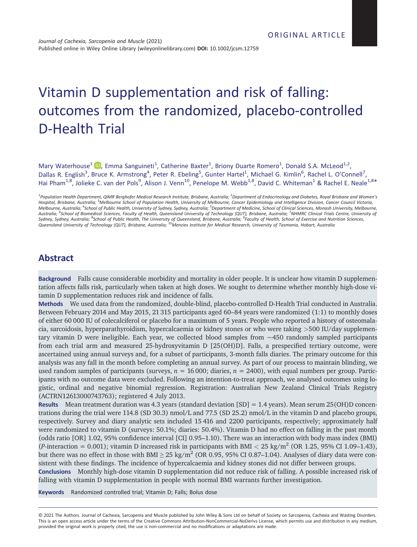# Vitamin D supplementation and risk of falling: outcomes from the randomized, placebo-controlled D-Health Trial

Mary Waterhouse<sup>1</sup> D, Emma Sanguineti<sup>1</sup>, Catherine Baxter<sup>1</sup>, Briony Duarte Romero<sup>1</sup>, Donald S.A. McLeod<sup>1,2</sup>, Dallas R. English<sup>3</sup>, Bruce K. Armstrong<sup>4</sup>, Peter R. Ebeling<sup>5</sup>, Gunter Hartel<sup>1</sup>, Michael G. Kimlin<sup>6</sup>, Rachel L. O'Connell<sup>7</sup>, Hai Pham<sup>1,8</sup>, Jolieke C. van der Pols<sup>9</sup>, Alison J. Venn<sup>10</sup>, Penelope M. Webb<sup>1,8</sup>, David C. Whiteman<sup>1</sup> & Rachel E. Neale<sup>1,8\*</sup>

# **Abstract**

**Background** Falls cause considerable morbidity and mortality in older people. It is unclear how vitamin D supplementation affects falls risk, particularly when taken at high doses. We sought to determine whether monthly high-dose vitamin D supplementation reduces risk and incidence of falls.

**Methods** We used data from the randomized, double-blind, placebo-controlled D-Health Trial conducted in Australia. Between February 2014 and May 2015, 21 315 participants aged 60–84 years were randomized (1:1) to monthly doses of either 60 000 IU of colecalciferol or placebo for a maximum of 5 years. People who reported a history of osteomalacia, sarcoidosis, hyperparathyroidism, hypercalcaemia or kidney stones or who were taking *>*500 IU/day supplementary vitamin D were ineligible. Each year, we collected blood samples from  $\sim$ 450 randomly sampled participants from each trial arm and measured 25-hydroxyvitamin D [25(OH)D]. Falls, a prespecified tertiary outcome, were ascertained using annual surveys and, for a subset of participants, 3-month falls diaries. The primary outcome for this analysis was any fall in the month before completing an annual survey. As part of our process to maintain blinding, we used random samples of participants (surveys,  $n = 16000$ ; diaries,  $n = 2400$ ), with equal numbers per group. Participants with no outcome data were excluded. Following an intention-to-treat approach, we analysed outcomes using logistic, ordinal and negative binomial regression. Registration: Australian New Zealand Clinical Trials Registry (ACTRN12613000743763); registered 4 July 2013.

**Results** Mean treatment duration was 4.3 years (standard deviation [SD] = 1.4 years). Mean serum 25(OH)D concentrations during the trial were 114.8 (SD 30.3) nmol/L and 77.5 (SD 25.2) nmol/L in the vitamin D and placebo groups, respectively. Survey and diary analytic sets included 15 416 and 2200 participants, respectively; approximately half were randomized to vitamin D (surveys: 50.1%; diaries: 50.4%). Vitamin D had no effect on falling in the past month (odds ratio [OR] 1.02, 95% confidence interval [CI] 0.95–1.10). There was an interaction with body mass index (BMI) (*P*-interaction = 0.001); vitamin D increased risk in participants with BMI  $<$  25 kg/m<sup>2</sup> (OR 1.25, 95% CI 1.09–1.43), but there was no effect in those with BMI  $\geq$  25 kg/m<sup>2</sup> (OR 0.95, 95% CI 0.87–1.04). Analyses of diary data were consistent with these findings. The incidence of hypercalcaemia and kidney stones did not differ between groups.

**Conclusions** Monthly high-dose vitamin D supplementation did not reduce risk of falling. A possible increased risk of falling with vitamin D supplementation in people with normal BMI warrants further investigation.

**Keywords** Randomized controlled trial; Vitamin D; Falls; Bolus dose

<sup>&</sup>lt;sup>1</sup> Population Health Department, QIMR Berghofer Medical Research Institute, Brisbane, Australia; <sup>2</sup> Department of Endocrinology and Diabetes, Royal Brisbane and Women's *Hospital, Brisbane, Australia;* <sup>3</sup> *Melbourne School of Population Health, University of Melbourne, Cancer Epidemiology and Intelligence Division, Cancer Council Victoria, Melbourne, Australia;* <sup>4</sup> *School of Public Health, University of Sydney, Sydney, Australia;* <sup>5</sup> *Department of Medicine, School of Clinical Sciences, Monash University, Melbourne, Australia;* <sup>6</sup> *School of Biomedical Sciences, Faculty of Health, Queensland University of Technology (QUT), Brisbane, Australia;* <sup>7</sup> *NHMRC Clinical Trials Centre, University of* Sydney, Sydney, Australia; <sup>8</sup>School of Public Health, The University of Queensland, Brisbane, Australia; <sup>9</sup>Faculty of Health, School of Exercise and Nutrition Sciences,<br>Queensland University of Technology (QUT), Brisbane

<sup>© 2021</sup> The Authors. Journal of Cachexia, Sarcopenia and Muscle published by John Wiley & Sons Ltd on behalf of Society on Sarcopenia, Cachexia and Wasting Disorders. This is an open access article under the terms of the [Creative Commons Attribution-NonCommercial-NoDerivs](http://creativecommons.org/licenses/by-nc-nd/4.0/) License, which permits use and distribution in any medium, provided the original work is properly cited, the use is non-commercial and no modifications or adaptations are made.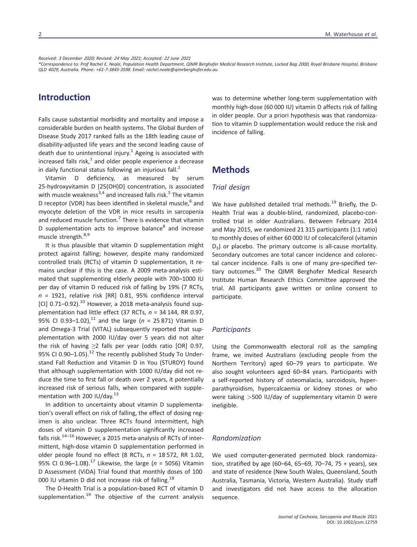*Received: <sup>3</sup> December <sup>2020</sup>; Revised: <sup>24</sup> May <sup>2021</sup>; Accepted: <sup>22</sup> June <sup>2021</sup>*

*\*Correspondence to: Prof Rachel E. Neale, Population Health Department, QIMR Berghofer Medical Research Institute, Locked Bag <sup>2000</sup>, Royal Brisbane Hospital, Brisbane QLD <sup>4029</sup>, Australia. Phone: +61-7-3845-3598. Email: [rachel.neale@qimrberghofer.edu.au](mailto:rachel.neale@qimrberghofer.edu.au)*

# **Introduction**

Falls cause substantial morbidity and mortality and impose a considerable burden on health systems. The Global Burden of Disease Study 2017 ranked falls as the 18th leading cause of disability-adjusted life years and the second leading cause of death due to unintentional injury.<sup>1</sup> Ageing is associated with increased falls risk, $<sup>1</sup>$  and older people experience a decrease</sup> in daily functional status following an injurious fall. $<sup>2</sup>$ </sup>

Vitamin D deficiency, as measured by serum 25-hydroxyvitamin D [25(OH)D] concentration, is associated with muscle weakness<sup>3,4</sup> and increased falls risk.<sup>5</sup> The vitamin D receptor (VDR) has been identified in skeletal muscle, $6$  and myocyte deletion of the VDR in mice results in sarcopenia and reduced muscle function.<sup>7</sup> There is evidence that vitamin D supplementation acts to improve balance<sup>8</sup> and increase muscle strength.<sup>8,9</sup>

It is thus plausible that vitamin D supplementation might protect against falling; however, despite many randomized controlled trials (RCTs) of vitamin D supplementation, it remains unclear if this is the case. A 2009 meta-analysis estimated that supplementing elderly people with 700–1000 IU per day of vitamin D reduced risk of falling by 19% (7 RCTs, *n* = 1921, relative risk [RR] 0.81, 95% confidence interval  $[CI]$  0.71–0.92). $^{10}$  However, a 2018 meta-analysis found supplementation had little effect (37 RCTs, *n* = 34 144, RR 0.97, 95% CI 0.93-1.02),<sup>11</sup> and the large ( $n = 25871$ ) Vitamin D and Omega-3 Trial (VITAL) subsequently reported that supplementation with 2000 IU/day over 5 years did not alter the risk of having  $\geq 2$  falls per year (odds ratio [OR] 0.97, 95% CI 0.90-1.05). $^{12}$  The recently published Study To Understand Fall Reduction and Vitamin D in You (STURDY) found that although supplementation with 1000 IU/day did not reduce the time to first fall or death over 2 years, it potentially increased risk of serious falls, when compared with supplementation with 200 IU/day.<sup>13</sup>

In addition to uncertainty about vitamin D supplementation's overall effect on risk of falling, the effect of dosing regimen is also unclear. Three RCTs found intermittent, high doses of vitamin D supplementation significantly increased falls risk.<sup>14-16</sup> However, a 2015 meta-analysis of RCTs of intermittent, high-dose vitamin D supplementation performed in older people found no effect (8 RCTs, *n* = 18 572, RR 1.02, 95% CI 0.96–1.08).<sup>17</sup> Likewise, the large (*n* = 5056) Vitamin D Assessment (ViDA) Trial found that monthly doses of 100 000 IU vitamin D did not increase risk of falling.<sup>18</sup>

The D-Health Trial is a population-based RCT of vitamin D supplementation. $19$  The objective of the current analysis was to determine whether long-term supplementation with monthly high-dose (60 000 IU) vitamin D affects risk of falling in older people. Our a priori hypothesis was that randomization to vitamin D supplementation would reduce the risk and incidence of falling.

# **Methods**

#### *Trial design*

We have published detailed trial methods.<sup>19</sup> Briefly, the D-Health Trial was a double-blind, randomized, placebo-controlled trial in older Australians. Between February 2014 and May 2015, we randomized 21 315 participants (1:1 ratio) to monthly doses of either 60 000 IU of colecalciferol (vitamin  $D_3$ ) or placebo. The primary outcome is all-cause mortality. Secondary outcomes are total cancer incidence and colorectal cancer incidence. Falls is one of many pre-specified tertiary outcomes.<sup>20</sup> The QIMR Berghofer Medical Research Institute Human Research Ethics Committee approved the trial. All participants gave written or online consent to participate.

### *Participants*

Using the Commonwealth electoral roll as the sampling frame, we invited Australians (excluding people from the Northern Territory) aged 60–79 years to participate. We also sought volunteers aged 60–84 years. Participants with a self-reported history of osteomalacia, sarcoidosis, hyperparathyroidism, hypercalcaemia or kidney stones or who were taking *>*500 IU/day of supplementary vitamin D were ineligible.

### *Randomization*

We used computer-generated permuted block randomization, stratified by age (60–64, 65–69, 70–74, 75 + years), sex and state of residence (New South Wales, Queensland, South Australia, Tasmania, Victoria, Western Australia). Study staff and investigators did not have access to the allocation sequence.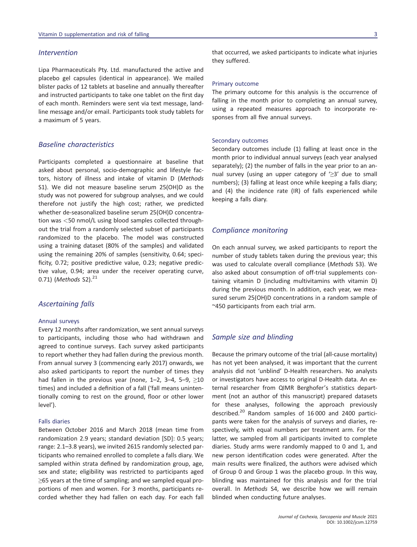#### *Intervention*

Lipa Pharmaceuticals Pty. Ltd. manufactured the active and placebo gel capsules (identical in appearance). We mailed blister packs of 12 tablets at baseline and annually thereafter and instructed participants to take one tablet on the first day of each month. Reminders were sent via text message, landline message and/or email. Participants took study tablets for a maximum of 5 years.

### *Baseline characteristics*

Participants completed a questionnaire at baseline that asked about personal, socio-demographic and lifestyle factors, history of illness and intake of vitamin D (*Methods* S1). We did not measure baseline serum 25(OH)D as the study was not powered for subgroup analyses, and we could therefore not justify the high cost; rather, we predicted whether de-seasonalized baseline serum 25(OH)D concentration was *<*50 nmol/L using blood samples collected throughout the trial from a randomly selected subset of participants randomized to the placebo. The model was constructed using a training dataset (80% of the samples) and validated using the remaining 20% of samples (sensitivity, 0.64; specificity, 0.72; positive predictive value, 0.23; negative predictive value, 0.94; area under the receiver operating curve, 0.71) (*Methods* S2).<sup>21</sup>

#### *Ascertaining falls*

#### Annual surveys

Every 12 months after randomization, we sent annual surveys to participants, including those who had withdrawn and agreed to continue surveys. Each survey asked participants to report whether they had fallen during the previous month. From annual survey 3 (commencing early 2017) onwards, we also asked participants to report the number of times they had fallen in the previous year (none,  $1-2$ ,  $3-4$ ,  $5-9$ ,  $\geq 10$ times) and included a definition of a fall ('fall means unintentionally coming to rest on the ground, floor or other lower level').

#### Falls diaries

Between October 2016 and March 2018 (mean time from randomization 2.9 years; standard deviation [SD]: 0.5 years; range: 2.1–3.8 years), we invited 2615 randomly selected participants who remained enrolled to complete a falls diary. We sampled within strata defined by randomization group, age, sex and state; eligibility was restricted to participants aged ≥65 years at the time of sampling; and we sampled equal proportions of men and women. For 3 months, participants recorded whether they had fallen on each day. For each fall

that occurred, we asked participants to indicate what injuries they suffered.

#### Primary outcome

The primary outcome for this analysis is the occurrence of falling in the month prior to completing an annual survey, using a repeated measures approach to incorporate responses from all five annual surveys.

#### Secondary outcomes

Secondary outcomes include (1) falling at least once in the month prior to individual annual surveys (each year analysed separately); (2) the number of falls in the year prior to an annual survey (using an upper category of  $\geq 3'$  due to small numbers); (3) falling at least once while keeping a falls diary; and (4) the incidence rate (IR) of falls experienced while keeping a falls diary.

#### *Compliance monitoring*

On each annual survey, we asked participants to report the number of study tablets taken during the previous year; this was used to calculate overall compliance (*Methods* S3). We also asked about consumption of off-trial supplements containing vitamin D (including multivitamins with vitamin D) during the previous month. In addition, each year, we measured serum 25(OH)D concentrations in a random sample of ~450 participants from each trial arm.

### *Sample size and blinding*

Because the primary outcome of the trial (all-cause mortality) has not yet been analysed, it was important that the current analysis did not 'unblind' D-Health researchers. No analysts or investigators have access to original D-Health data. An external researcher from QIMR Berghofer's statistics department (not an author of this manuscript) prepared datasets for these analyses, following the approach previously described.<sup>20</sup> Random samples of 16000 and 2400 participants were taken for the analysis of surveys and diaries, respectively, with equal numbers per treatment arm. For the latter, we sampled from all participants invited to complete diaries. Study arms were randomly mapped to 0 and 1, and new person identification codes were generated. After the main results were finalized, the authors were advised which of Group 0 and Group 1 was the placebo group. In this way, blinding was maintained for this analysis and for the trial overall. In *Methods* S4, we describe how we will remain blinded when conducting future analyses.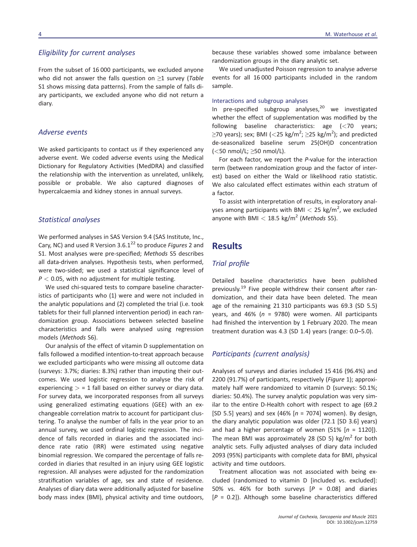### *Eligibility for current analyses*

From the subset of 16 000 participants, we excluded anyone who did not answer the falls question on ≥1 survey (*Table* S1 shows missing data patterns). From the sample of falls diary participants, we excluded anyone who did not return a diary.

#### *Adverse events*

We asked participants to contact us if they experienced any adverse event. We coded adverse events using the Medical Dictionary for Regulatory Activities (MedDRA) and classified the relationship with the intervention as unrelated, unlikely, possible or probable. We also captured diagnoses of hypercalcaemia and kidney stones in annual surveys.

#### *Statistical analyses*

We performed analyses in SAS Version 9.4 (SAS Institute, Inc., Cary, NC) and used R Version 3.6.1<sup>22</sup> to produce *Figures* 2 and S1. Most analyses were pre-specified; *Methods* S5 describes all data-driven analyses. Hypothesis tests, when performed, were two-sided; we used a statistical significance level of *P <* 0.05, with no adjustment for multiple testing.

We used chi-squared tests to compare baseline characteristics of participants who (1) were and were not included in the analytic populations and (2) completed the trial (i.e. took tablets for their full planned intervention period) in each randomization group. Associations between selected baseline characteristics and falls were analysed using regression models (*Methods* S6).

Our analysis of the effect of vitamin D supplementation on falls followed a modified intention-to-treat approach because we excluded participants who were missing all outcome data (surveys: 3.7%; diaries: 8.3%) rather than imputing their outcomes. We used logistic regression to analyse the risk of experiencing *>* = 1 fall based on either survey or diary data. For survey data, we incorporated responses from all surveys using generalized estimating equations (GEE) with an exchangeable correlation matrix to account for participant clustering. To analyse the number of falls in the year prior to an annual survey, we used ordinal logistic regression. The incidence of falls recorded in diaries and the associated incidence rate ratio (IRR) were estimated using negative binomial regression. We compared the percentage of falls recorded in diaries that resulted in an injury using GEE logistic regression. All analyses were adjusted for the randomization stratification variables of age, sex and state of residence. Analyses of diary data were additionally adjusted for baseline body mass index (BMI), physical activity and time outdoors,

because these variables showed some imbalance between randomization groups in the diary analytic set.

We used unadjusted Poisson regression to analyse adverse events for all 16 000 participants included in the random sample.

#### Interactions and subgroup analyses

In pre-specified subgroup analyses, $20$  we investigated whether the effect of supplementation was modified by the following baseline characteristics: age (*<*70 years;  $\geq$ 70 years); sex; BMI (<25 kg/m<sup>2</sup>;  $\geq$ 25 kg/m<sup>2</sup>); and predicted de-seasonalized baseline serum 25(OH)D concentration (*<*50 nmol/L; ≥50 nmol/L).

For each factor, we report the *P*-value for the interaction term (between randomization group and the factor of interest) based on either the Wald or likelihood ratio statistic. We also calculated effect estimates within each stratum of a factor.

To assist with interpretation of results, in exploratory analyses among participants with BMI *<* 25 kg/m<sup>2</sup> , we excluded anyone with BMI  $<$  18.5 kg/m<sup>2</sup> (*Methods* S5).

### **Results**

### *Trial profile*

Detailed baseline characteristics have been published previously.<sup>19</sup> Five people withdrew their consent after randomization, and their data have been deleted. The mean age of the remaining 21 310 participants was 69.3 (SD 5.5) years, and 46% (*n* = 9780) were women. All participants had finished the intervention by 1 February 2020. The mean treatment duration was 4.3 (SD 1.4) years (range: 0.0–5.0).

### *Participants (current analysis)*

Analyses of surveys and diaries included 15 416 (96.4%) and 2200 (91.7%) of participants, respectively (*Figure* 1); approximately half were randomized to vitamin D (surveys: 50.1%; diaries: 50.4%). The survey analytic population was very similar to the entire D-Health cohort with respect to age (69.2 [SD 5.5] years) and sex (46% [*n* = 7074] women). By design, the diary analytic population was older (72.1 [SD 3.6] years) and had a higher percentage of women (51% [*n* = 1120]). The mean BMI was approximately 28 (SD 5) kg/ $m^2$  for both analytic sets. Fully adjusted analyses of diary data included 2093 (95%) participants with complete data for BMI, physical activity and time outdoors.

Treatment allocation was not associated with being excluded (randomized to vitamin D [included vs. excluded]: 50% vs. 46% for both surveys [*P* = 0.08] and diaries [*P* = 0.2]). Although some baseline characteristics differed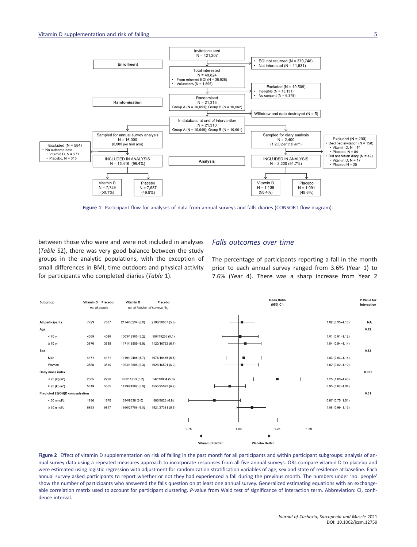

**Figure 1** Participant flow for analyses of data from annual surveys and falls diaries (CONSORT flow diagram).

between those who were and were not included in analyses (*Table* S2), there was very good balance between the study groups in the analytic populations, with the exception of small differences in BMI, time outdoors and physical activity for participants who completed diaries (*Table* 1).

### *Falls outcomes over time*

The percentage of participants reporting a fall in the month prior to each annual survey ranged from 3.6% (Year 1) to 7.6% (Year 4). There was a sharp increase from Year 2



**Figure 2** Effect of vitamin D supplementation on risk of falling in the past month for all participants and within participant subgroups: analysis of annual survey data using a repeated measures approach to incorporate responses from all five annual surveys. ORs compare vitamin D to placebo and were estimated using logistic regression with adjustment for randomization stratification variables of age, sex and state of residence at baseline. Each annual survey asked participants to report whether or not they had experienced a fall during the previous month. The numbers under 'no. people' show the number of participants who answered the falls question on at least one annual survey. Generalized estimating equations with an exchangeable correlation matrix used to account for participant clustering. *P*-value from Wald test of significance of interaction term. Abbreviation: CI, confidence interval.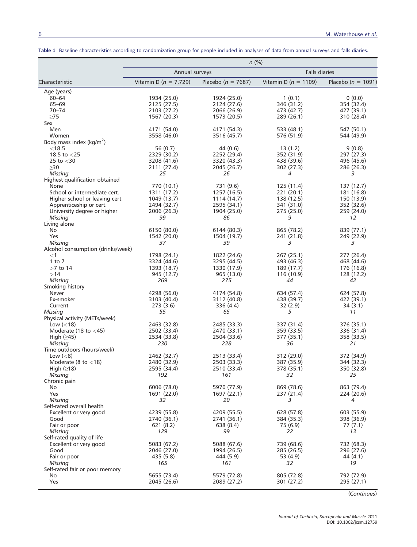|                                        | $n$ (%)                   |                          |                          |                          |  |  |  |
|----------------------------------------|---------------------------|--------------------------|--------------------------|--------------------------|--|--|--|
|                                        | Annual surveys            |                          | <b>Falls diaries</b>     |                          |  |  |  |
| Characteristic                         | Vitamin D ( $n = 7,729$ ) | Placebo ( $n = 7687$ )   | Vitamin D ( $n = 1109$ ) | Placebo ( $n = 1091$ )   |  |  |  |
| Age (years)                            |                           |                          |                          |                          |  |  |  |
| 60-64                                  | 1934 (25.0)               | 1924 (25.0)              | 1(0.1)                   | 0(0.0)                   |  |  |  |
| $65 - 69$                              | 2125 (27.5)               | 2124 (27.6)              | 346 (31.2)               | 354 (32.4)               |  |  |  |
| $70 - 74$                              | 2103 (27.2)               | 2066 (26.9)              | 473 (42.7)               | 427 (39.1)               |  |  |  |
| $\geq$ 75                              | 1567 (20.3)               | 1573 (20.5)              | 289 (26.1)               | 310 (28.4)               |  |  |  |
| Sex                                    |                           |                          |                          |                          |  |  |  |
| Men                                    | 4171 (54.0)               | 4171 (54.3)              | 533 (48.1)               | 547 (50.1)               |  |  |  |
| Women                                  | 3558 (46.0)               | 3516 (45.7)              | 576 (51.9)               | 544 (49.9)               |  |  |  |
| Body mass index ( $kg/m2$ )            |                           |                          |                          |                          |  |  |  |
| $<$ 18.5                               | 56 (0.7)                  | 44 (0.6)                 | 13(1.2)                  | 9(0.8)                   |  |  |  |
| 18.5 to $<$ 25                         | 2329 (30.2)               | 2252 (29.4)              | 352 (31.9)               | 297 (27.3)               |  |  |  |
| 25 to $<$ 30                           | 3208 (41.6)               | 3320 (43.3)              | 438 (39.6)               | 496 (45.6)               |  |  |  |
| $\geq$ 30                              | 2111 (27.4)               | 2045 (26.7)              | 302 (27.3)               | 286 (26.3)               |  |  |  |
| Missing                                | 25                        | 26                       | 4                        | 3                        |  |  |  |
| Highest qualification obtained<br>None |                           |                          |                          |                          |  |  |  |
| School or intermediate cert.           | 770 (10.1)<br>1311 (17.2) | 731 (9.6)<br>1257 (16.5) | 125 (11.4)<br>221 (20.1) | 137 (12.7)<br>181 (16.8) |  |  |  |
| Higher school or leaving cert.         | 1049 (13.7)               | 1114 (14.7)              | 138 (12.5)               | 150 (13.9)               |  |  |  |
| Apprenticeship or cert.                | 2494 (32.7)               | 2595 (34.1)              | 341 (31.0)               | 352 (32.6)               |  |  |  |
| University degree or higher            | 2006 (26.3)               | 1904 (25.0)              | 275 (25.0)               | 259 (24.0)               |  |  |  |
| Missing                                | 99                        | 86                       | 9                        | 12                       |  |  |  |
| Living alone                           |                           |                          |                          |                          |  |  |  |
| No                                     | 6150 (80.0)               | 6144 (80.3)              | 865 (78.2)               | 839 (77.1)               |  |  |  |
| Yes                                    | 1542 (20.0)               | 1504 (19.7)              | 241 (21.8)               | 249 (22.9)               |  |  |  |
| <b>Missing</b>                         | 37                        | 39                       | 3                        | 3                        |  |  |  |
| Alcohol consumption (drinks/week)      |                           |                          |                          |                          |  |  |  |
| $<$ 1                                  | 1798 (24.1)               | 1822 (24.6)              | 267 (25.1)               | 277 (26.4)               |  |  |  |
| $1$ to $7$                             | 3324 (44.6)               | 3295 (44.5)              | 493 (46.3)               | 468 (44.6)               |  |  |  |
| $>7$ to 14                             | 1393 (18.7)               | 1330 (17.9)              | 189 (17.7)               | 176 (16.8)               |  |  |  |
| >14                                    | 945 (12.7)                | 965 (13.0)               | 116 (10.9)               | 128 (12.2)               |  |  |  |
| Missing                                | 269                       | 275                      | 44                       | 42                       |  |  |  |
| Smoking history                        |                           |                          |                          |                          |  |  |  |
| Never                                  | 4298 (56.0)               | 4174 (54.8)              | 634 (57.4)               | 624 (57.8)               |  |  |  |
| Ex-smoker                              | 3103 (40.4)               | 3112 (40.8)              | 438 (39.7)               | 422 (39.1)               |  |  |  |
| Current                                | 273 (3.6)                 | 336 (4.4)                | 32(2.9)                  | 34 (3.1)                 |  |  |  |
| <b>Missing</b>                         | 55                        | 65                       | 5                        | 11                       |  |  |  |
| Physical activity (METs/week)          |                           |                          |                          |                          |  |  |  |
| Low $(< 18)$                           | 2463 (32.8)               | 2485 (33.3)              | 337 (31.4)               | 376 (35.1)               |  |  |  |
| Moderate (18 to $<$ 45)                | 2502 (33.4)               | 2470 (33.1)              | 359 (33.5)               | 336 (31.4)               |  |  |  |
| High $(≥45)$                           | 2534 (33.8)               | 2504 (33.6)              | 377 (35.1)               | 358 (33.5)               |  |  |  |
| Missing                                | 230                       | 228                      | 36                       | 21                       |  |  |  |
| Time outdoors (hours/week)             |                           |                          |                          |                          |  |  |  |
| Low $(< 8)$                            | 2462 (32.7)               | 2513 (33.4)              | 312 (29.0)               | 372 (34.9)               |  |  |  |
| Moderate $(8 \text{ to } < 18)$        | 2480 (32.9)               | 2503 (33.3)              | 387 (35.9)               | 344 (32.3)               |  |  |  |
| High $(≥18)$                           | 2595 (34.4)               | 2510 (33.4)              | 378 (35.1)               | 350 (32.8)               |  |  |  |
| <b>Missing</b><br>Chronic pain         | 192                       | 161                      | 32                       | 25                       |  |  |  |
| No                                     | 6006 (78.0)               | 5970 (77.9)              | 869 (78.6)               | 863 (79.4)               |  |  |  |
| Yes                                    | 1691 (22.0)               | 1697 (22.1)              | 237 (21.4)               | 224 (20.6)               |  |  |  |
| Missing                                | 32                        | 20                       | 3                        | 4                        |  |  |  |
| Self-rated overall health              |                           |                          |                          |                          |  |  |  |
| Excellent or very good                 | 4239 (55.8)               | 4209 (55.5)              | 628 (57.8)               | 603 (55.9)               |  |  |  |
| Good                                   | 2740 (36.1)               | 2741 (36.1)              | 384 (35.3)               | 398 (36.9)               |  |  |  |
| Fair or poor                           | 621(8.2)                  | 638 (8.4)                | 75 (6.9)                 | 77 (7.1)                 |  |  |  |
| Missing                                | 129                       | 99                       | 22                       | 13                       |  |  |  |
| Self-rated quality of life             |                           |                          |                          |                          |  |  |  |
| Excellent or very good                 | 5083 (67.2)               | 5088 (67.6)              | 739 (68.6)               | 732 (68.3)               |  |  |  |
| Good                                   | 2046 (27.0)               | 1994 (26.5)              | 285 (26.5)               | 296 (27.6)               |  |  |  |
| Fair or poor                           | 435 (5.8)                 | 444 (5.9)                | 53 (4.9)                 | 44 (4.1)                 |  |  |  |
| Missing                                | 165                       | 161                      | 32                       | 19                       |  |  |  |
| Self-rated fair or poor memory         |                           |                          |                          |                          |  |  |  |
| No                                     | 5655 (73.4)               | 5579 (72.8)              | 805 (72.8)               | 792 (72.9)               |  |  |  |
| Yes                                    | 2045 (26.6)               | 2089 (27.2)              | 301 (27.2)               | 295 (27.1)               |  |  |  |

**Table 1** Baseline characteristics according to randomization group for people included in analyses of data from annual surveys and falls diaries.

(*Continues*)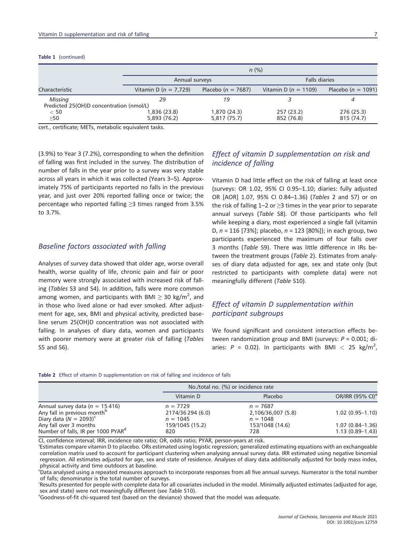#### **Table 1** (continued)

|                                                     | $n$ (%)                      |                              |                          |                          |  |  |
|-----------------------------------------------------|------------------------------|------------------------------|--------------------------|--------------------------|--|--|
|                                                     | Annual surveys               |                              | <b>Falls diaries</b>     |                          |  |  |
| Characteristic                                      | Vitamin D ( $n = 7.729$ )    | Placebo ( $n = 7687$ )       | Vitamin D ( $n = 1109$ ) | Placebo ( $n = 1091$ )   |  |  |
| Missing<br>Predicted 25(OH)D concentration (nmol/L) | 29                           | 19                           |                          |                          |  |  |
| < 50<br>>50                                         | 1,836 (23.8)<br>5,893 (76.2) | 1,870 (24.3)<br>5,817 (75.7) | 257 (23.2)<br>852 (76.8) | 276 (25.3)<br>815 (74.7) |  |  |

cert., certificate; METs, metabolic equivalent tasks.

(3.9%) to Year 3 (7.2%), corresponding to when the definition of falling was first included in the survey. The distribution of number of falls in the year prior to a survey was very stable across all years in which it was collected (Years 3–5). Approximately 75% of participants reported no falls in the previous year, and just over 20% reported falling once or twice; the percentage who reported falling ≥3 times ranged from 3.5% to 3.7%.

### *Baseline factors associated with falling*

Analyses of survey data showed that older age, worse overall health, worse quality of life, chronic pain and fair or poor memory were strongly associated with increased risk of falling (*Tables* S3 and S4). In addition, falls were more common among women, and participants with BMI  $\geq$  30 kg/m<sup>2</sup>, and in those who lived alone or had ever smoked. After adjustment for age, sex, BMI and physical activity, predicted baseline serum 25(OH)D concentration was not associated with falling. In analyses of diary data, women and participants with poorer memory were at greater risk of falling (*Tables* S5 and S6).

### *Effect of vitamin D supplementation on risk and incidence of falling*

Vitamin D had little effect on the risk of falling at least once (surveys: OR 1.02, 95% CI 0.95–1.10; diaries: fully adjusted OR [AOR] 1.07, 95% CI 0.84–1.36) (*Tables* 2 and S7) or on the risk of falling 1–2 or  $\geq$ 3 times in the year prior to separate annual surveys (*Table* S8). Of those participants who fell while keeping a diary, most experienced a single fall (vitamin D, *n* = 116 [73%]; placebo, *n* = 123 [80%]); in each group, two participants experienced the maximum of four falls over 3 months (*Table* S9). There was little difference in IRs between the treatment groups (*Table* 2). Estimates from analyses of diary data adjusted for age, sex and state only (but restricted to participants with complete data) were not meaningfully different (*Table* S10).

### *Effect of vitamin D supplementation within participant subgroups*

We found significant and consistent interaction effects between randomization group and BMI (surveys: *P* = 0.001; diaries:  $P = 0.02$ ). In participants with BMI  $< 25$  kg/m<sup>2</sup>,

|  |  |  | Table 2 Effect of vitamin D supplementation on risk of falling and incidence of falls |  |  |  |  |
|--|--|--|---------------------------------------------------------------------------------------|--|--|--|--|
|--|--|--|---------------------------------------------------------------------------------------|--|--|--|--|

|                                                |                   | No./total no. (%) or incidence rate |                              |  |  |
|------------------------------------------------|-------------------|-------------------------------------|------------------------------|--|--|
|                                                | Vitamin D         | Placebo                             | OR/IRR (95% CI) <sup>a</sup> |  |  |
| Annual survey data ( $n = 15416$ )             | $n = 7729$        | $n = 7687$                          | $1.02(0.95 - 1.10)$          |  |  |
| Any fall in previous month <sup>p</sup>        | 2174/36 294 (6.0) | 2,106/36,007 (5.8)                  |                              |  |  |
| Diary data ( $N = 2093$ ) <sup>c</sup>         | $n = 1045$        | $n = 1048$                          |                              |  |  |
| Any fall over 3 months                         | 159/1045 (15.2)   | 153/1048 (14.6)                     | $1.07(0.84 - 1.36)$          |  |  |
| Number of falls, IR per 1000 PYAR <sup>a</sup> | 820               | 728                                 | $1.13(0.89-1.43)$            |  |  |

CI, confidence interval; IRR, incidence rate ratio; OR, odds ratio; PYAR, person-years at risk. <sup>a</sup>

Estimates compare vitamin D to placebo. ORs estimated using logistic regression; generalized estimating equations with an exchangeable correlation matrix used to account for participant clustering when analysing annual survey data. IRR estimated using negative binomial regression. All estimates adjusted for age, sex and state of residence. Analyses of diary data additionally adjusted for body mass index, physical activity and time outdoors at baseline.

b Data analysed using a repeated measures approach to incorporate responses from all five annual surveys. Numerator is the total number of falls; denominator is the total number of surveys.

c Results presented for people with complete data for all covariates included in the model. Minimally adjusted estimates (adjusted for age, sex and state) were not meaningfully different (see Table S10).

Goodness-of-fit chi-squared test (based on the deviance) showed that the model was adequate.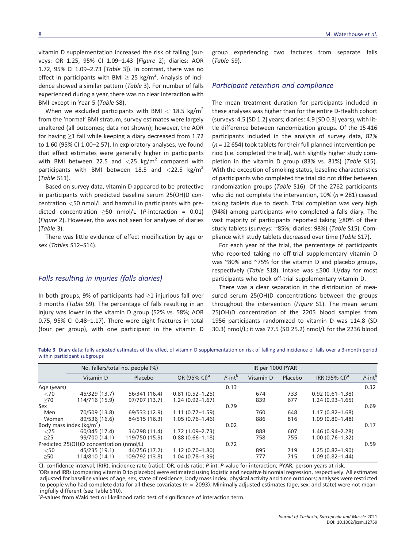vitamin D supplementation increased the risk of falling (surveys: OR 1.25, 95% CI 1.09–1.43 [*Figure* 2]; diaries: AOR 1.72, 95% CI 1.09–2.73 [*Table* 3]). In contrast, there was no effect in participants with BMI  $\geq$  25 kg/m<sup>2</sup>. Analysis of incidence showed a similar pattern (*Table* 3). For number of falls experienced during a year, there was no clear interaction with BMI except in Year 5 (*Table* S8).

When we excluded participants with BMI *<* 18.5 kg/m<sup>2</sup> from the 'normal' BMI stratum, survey estimates were largely unaltered (all outcomes; data not shown); however, the AOR for having ≥1 fall while keeping a diary decreased from 1.72 to 1.60 (95% CI 1.00–2.57). In exploratory analyses, we found that effect estimates were generally higher in participants with BMI between 22.5 and <25 kg/m<sup>2</sup> compared with participants with BMI between 18.5 and *<*22.5 kg/m<sup>2</sup> (*Table* S11).

Based on survey data, vitamin D appeared to be protective in participants with predicted baseline serum 25(OH)D concentration *<*50 nmol/L and harmful in participants with predicted concentration ≥50 nmol/L (*P*-interaction = 0.01) (*Figure* 2). However, this was not seen for analyses of diaries (*Table* 3).

There was little evidence of effect modification by age or sex (*Tables* S12–S14).

#### *Falls resulting in injuries (falls diaries)*

In both groups, 9% of participants had  $\geq$ 1 injurious fall over 3 months (*Table* S9). The percentage of falls resulting in an injury was lower in the vitamin D group (52% vs. 58%; AOR 0.75, 95% CI 0.48–1.17). There were eight fractures in total (four per group), with one participant in the vitamin D

group experiencing two factures from separate falls (*Table* S9).

#### *Participant retention and compliance*

The mean treatment duration for participants included in these analyses was higher than for the entire D-Health cohort (surveys: 4.5 [SD 1.2] years; diaries: 4.9 [SD 0.3] years), with little difference between randomization groups. Of the 15 416 participants included in the analysis of survey data, 82% (*n* = 12 654) took tablets for their full planned intervention period (i.e. completed the trial), with slightly higher study completion in the vitamin D group (83% vs. 81%) (*Table* S15). With the exception of smoking status, baseline characteristics of participants who completed the trial did not differ between randomization groups (*Table* S16). Of the 2762 participants who did not complete the intervention, 10% (*n* = 281) ceased taking tablets due to death. Trial completion was very high (94%) among participants who completed a falls diary. The vast majority of participants reported taking ≥80% of their study tablets (surveys: ~85%; diaries: 98%) (*Table* S15). Compliance with study tablets decreased over time (*Table* S17).

For each year of the trial, the percentage of participants who reported taking no off-trial supplementary vitamin D was ~80% and ~75% for the vitamin D and placebo groups, respectively (*Table* S18). Intake was ≤500 IU/day for most participants who took off-trial supplementary vitamin D.

There was a clear separation in the distribution of measured serum 25(OH)D concentrations between the groups throughout the intervention (*Figure* S1). The mean serum 25(OH)D concentration of the 2205 blood samples from 1956 participants randomized to vitamin D was 114.8 (SD 30.3) nmol/L; it was 77.5 (SD 25.2) nmol/L for the 2236 blood

**Table 3** Diary data: fully adjusted estimates of the effect of vitamin D supplementation on risk of falling and incidence of falls over a 3-month period within participant subgroups

|             |                                          | No. fallers/total no. people (%) | IR per 1000 PYAR         |              |           |         |                              |              |
|-------------|------------------------------------------|----------------------------------|--------------------------|--------------|-----------|---------|------------------------------|--------------|
|             | Vitamin D                                | Placebo                          | OR (95% CI) <sup>a</sup> | $P$ -int $b$ | Vitamin D | Placebo | IRR $(95\%$ CI) <sup>a</sup> | $P$ -int $b$ |
| Age (years) |                                          |                                  |                          | 0.13         |           |         |                              | 0.32         |
| < 70        | 45/329 (13.7)                            | 56/341 (16.4)                    | $0.81(0.52 - 1.25)$      |              | 674       | 733     | $0.92(0.61 - 1.38)$          |              |
| $\geq 70$   | 114/716 (15.9)                           | 97/707 (13.7)                    | $1.24(0.92 - 1.67)$      |              | 839       | 677     | $1.24(0.93 - 1.65)$          |              |
| Sex         |                                          |                                  |                          | 0.79         |           |         |                              | 0.69         |
| Men         | 70/509 (13.8)                            | 69/533 (12.9)                    | $1.11(0.77-1.59)$        |              | 760       | 648     | $1.17(0.82 - 1.68)$          |              |
| Women       | 89/536 (16.6)                            | 84/515 (16.3)                    | $1.05(0.76 - 1.46)$      |              | 886       | 816     | $1.09(0.80 - 1.48)$          |              |
|             | Body mass index ( $kg/m2$ )              |                                  |                          | 0.02         |           |         |                              | 0.17         |
| $<$ 25      | 60/345 (17.4)                            | 34/298 (11.4)                    | $1.72(1.09 - 2.73)$      |              | 888       | 607     | $1.46(0.94 - 2.28)$          |              |
| $>25$       | 99/700 (14.1)                            | 119/750 (15.9)                   | $0.88(0.66 - 1.18)$      |              | 758       | 755     | $1.00(0.76 - 1.32)$          |              |
|             | Predicted 25(OH)D concentration (nmol/L) |                                  |                          | 0.72         |           |         |                              | 0.59         |
| $<$ 50      | 45/235 (19.1)                            | 44/256 (17.2)                    | $1.12(0.70 - 1.80)$      |              | 895       | 719     | $1.25(0.82 - 1.90)$          |              |
| >50         | 114/810 (14.1)                           | 109/792 (13.8)                   | $1.04(0.78 - 1.39)$      |              | 777       | 715     | $1.09(0.82 - 1.44)$          |              |

CI, confidence interval; IR(R), incidence rate (ratio); OR, odds ratio; *<sup>P</sup>*-int, *<sup>P</sup>*-value for interaction; PYAR, person-years at risk. <sup>a</sup> ORs and IRRs (comparing vitamin D to placebo) were estimated using logistic and negative binomial regression, respectively. All estimates adjusted for baseline values of age, sex, state of residence, body mass index, physical activity and time outdoors; analyses were restricted to people who had complete data for all these covariates (*n* = 2093). Minimally adjusted estimates (age, sex, and state) were not meaningfully different (see Table S10).

P-values from Wald test or likelihood ratio test of significance of interaction term.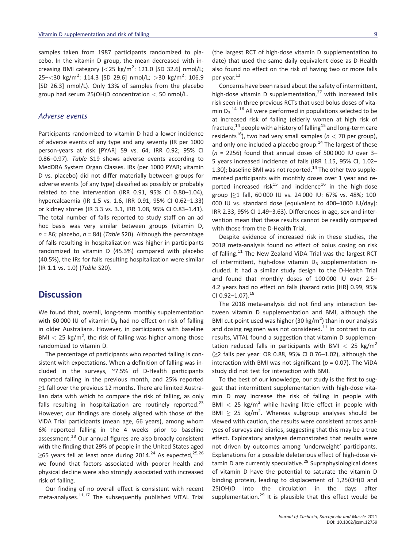samples taken from 1987 participants randomized to placebo. In the vitamin D group, the mean decreased with increasing BMI category (*<*25 kg/m<sup>2</sup> : 121.0 [SD 32.6] nmol/L; 25–*<*30 kg/m<sup>2</sup> : 114.3 [SD 29.6] nmol/L; *>*30 kg/m<sup>2</sup> : 106.9 [SD 26.3] nmol/L). Only 13% of samples from the placebo group had serum 25(OH)D concentration *<* 50 nmol/L.

#### *Adverse events*

Participants randomized to vitamin D had a lower incidence of adverse events of any type and any severity (IR per 1000 person-years at risk [PYAR] 59 vs. 64, IRR 0.92; 95% CI 0.86–0.97). *Table* S19 shows adverse events according to MedDRA System Organ Classes. IRs (per 1000 PYAR; vitamin D vs. placebo) did not differ materially between groups for adverse events (of any type) classified as possibly or probably related to the intervention (IRR 0.91, 95% CI 0.80–1.04), hypercalcaemia (IR 1.5 vs. 1.6, IRR 0.91, 95% CI 0.62–1.33) or kidney stones (IR 3.3 vs. 3.1, IRR 1.08, 95% CI 0.83–1.41). The total number of falls reported to study staff on an ad hoc basis was very similar between groups (vitamin D, *n* = 86; placebo, *n* = 84) (*Table* S20). Although the percentage of falls resulting in hospitalization was higher in participants randomized to vitamin D (45.3%) compared with placebo (40.5%), the IRs for falls resulting hospitalization were similar (IR 1.1 vs. 1.0) (*Table* S20).

### **Discussion**

We found that, overall, long-term monthly supplementation with 60 000 IU of vitamin  $D_3$  had no effect on risk of falling in older Australians. However, in participants with baseline BMI  $<$  25 kg/m<sup>2</sup>, the risk of falling was higher among those randomized to vitamin D.

The percentage of participants who reported falling is consistent with expectations. When a definition of falling was included in the surveys, ~7.5% of D-Health participants reported falling in the previous month, and 25% reported ≥1 fall over the previous 12 months. There are limited Australian data with which to compare the risk of falling, as only falls resulting in hospitalization are routinely reported. $^{23}$ However, our findings are closely aligned with those of the ViDA Trial participants (mean age, 66 years), among whom 6% reported falling in the 4 weeks prior to baseline assessment.<sup>18</sup> Our annual figures are also broadly consistent with the finding that 29% of people in the United States aged  $\geq$ 65 years fell at least once during 2014.<sup>24</sup> As expected,<sup>25,26</sup> we found that factors associated with poorer health and physical decline were also strongly associated with increased risk of falling.

Our finding of no overall effect is consistent with recent meta-analyses.<sup>11,17</sup> The subsequently published VITAL Trial

(the largest RCT of high-dose vitamin D supplementation to date) that used the same daily equivalent dose as D-Health also found no effect on the risk of having two or more falls per year.<sup>12</sup>

Concerns have been raised about the safety of intermittent, high-dose vitamin D supplementation, $^{27}$  with increased falls risk seen in three previous RCTs that used bolus doses of vitamin  $D_3$ <sup>14-16</sup> All were performed in populations selected to be at increased risk of falling (elderly women at high risk of fracture,<sup>14</sup> people with a history of falling<sup>15</sup> and long-term care residents<sup>16</sup>), two had very small samples ( $n <$  70 per group), and only one included a placebo group.<sup>14</sup> The largest of these (*n* = 2256) found that annual doses of 500 000 IU over 3– 5 years increased incidence of falls (IRR 1.15, 95% CI, 1.02– 1.30); baseline BMI was not reported.<sup>14</sup> The other two supplemented participants with monthly doses over 1 year and reported increased risk<sup>15</sup> and incidence<sup>16</sup> in the high-dose group (≥1 fall, 60 000 IU vs. 24 000 IU: 67% vs. 48%; 100 000 IU vs. standard dose [equivalent to 400–1000 IU/day]: IRR 2.33, 95% CI 1.49–3.63). Differences in age, sex and intervention mean that these results cannot be readily compared with those from the D-Health Trial.

Despite evidence of increased risk in these studies, the 2018 meta-analysis found no effect of bolus dosing on risk of falling.<sup>11</sup> The New Zealand ViDA Trial was the largest RCT of intermittent, high-dose vitamin  $D_3$  supplementation included. It had a similar study design to the D-Health Trial and found that monthly doses of 100 000 IU over 2.5– 4.2 years had no effect on falls (hazard ratio [HR] 0.99, 95% CI  $0.92 - 1.07$ ).<sup>18</sup>

The 2018 meta-analysis did not find any interaction between vitamin D supplementation and BMI, although the BMI cut-point used was higher (30 kg/m<sup>2</sup>) than in our analysis and dosing regimen was not considered. $11$  In contrast to our results, VITAL found a suggestion that vitamin D supplementation reduced falls in participants with BMI *<* 25 kg/m<sup>2</sup> (≥2 falls per year: OR 0.88, 95% CI 0.76–1.02), although the interaction with BMI was not significant ( $p = 0.07$ ). The ViDA study did not test for interaction with BMI.

To the best of our knowledge, our study is the first to suggest that intermittent supplementation with high-dose vitamin D may increase the risk of falling in people with BMI < 25 kg/m<sup>2</sup> while having little effect in people with BMI  $\geq$  25 kg/m<sup>2</sup>. Whereas subgroup analyses should be viewed with caution, the results were consistent across analyses of surveys and diaries, suggesting that this may be a true effect. Exploratory analyses demonstrated that results were not driven by outcomes among 'underweight' participants. Explanations for a possible deleterious effect of high-dose vitamin D are currently speculative.<sup>28</sup> Supraphysiological doses of vitamin D have the potential to saturate the vitamin D binding protein, leading to displacement of 1,25(OH)D and 25(OH)D into the circulation in the days after supplementation.<sup>29</sup> It is plausible that this effect would be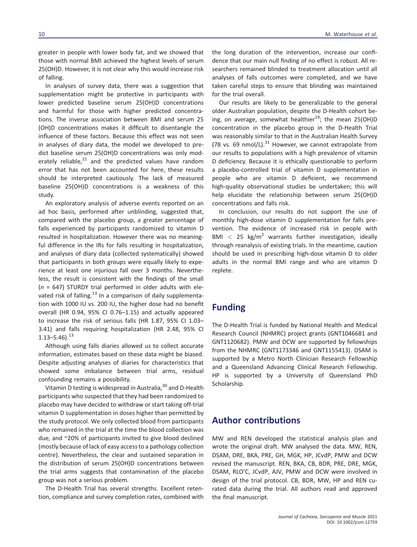greater in people with lower body fat, and we showed that those with normal BMI achieved the highest levels of serum 25(OH)D. However, it is not clear why this would increase risk of falling.

In analyses of survey data, there was a suggestion that supplementation might be protective in participants with lower predicted baseline serum 25(OH)D concentrations and harmful for those with higher predicted concentrations. The inverse association between BMI and serum 25 (OH)D concentrations makes it difficult to disentangle the influence of these factors. Because this effect was not seen in analyses of diary data, the model we developed to predict baseline serum 25(OH)D concentrations was only moderately reliable, $^{21}$  and the predicted values have random error that has not been accounted for here, these results should be interpreted cautiously. The lack of measured baseline 25(OH)D concentrations is a weakness of this study.

An exploratory analysis of adverse events reported on an ad hoc basis, performed after unblinding, suggested that, compared with the placebo group, a greater percentage of falls experienced by participants randomized to vitamin D resulted in hospitalization. However there was no meaningful difference in the IRs for falls resulting in hospitalization, and analyses of diary data (collected systematically) showed that participants in both groups were equally likely to experience at least one injurious fall over 3 months. Nevertheless, the result is consistent with the findings of the small (*n* = 647) STURDY trial performed in older adults with elevated risk of falling.<sup>13</sup> In a comparison of daily supplementation with 1000 IU vs. 200 IU, the higher dose had no benefit overall (HR 0.94, 95% CI 0.76–1.15) and actually appeared to increase the risk of serious falls (HR 1.87, 95% CI 1.03– 3.41) and falls requiring hospitalization (HR 2.48, 95% CI  $1.13 - 5.46$ ).<sup>13</sup>

Although using falls diaries allowed us to collect accurate information, estimates based on these data might be biased. Despite adjusting analyses of diaries for characteristics that showed some imbalance between trial arms, residual confounding remains a possibility.

Vitamin D testing is widespread in Australia,<sup>30</sup> and D-Health participants who suspected that they had been randomized to placebo may have decided to withdraw or start taking off-trial vitamin D supplementation in doses higher than permitted by the study protocol. We only collected blood from participants who remained in the trial at the time the blood collection was due, and ~20% of participants invited to give blood declined (mostly because of lack of easy access to a pathology collection centre). Nevertheless, the clear and sustained separation in the distribution of serum 25(OH)D concentrations between the trial arms suggests that contamination of the placebo group was not a serious problem.

The D-Health Trial has several strengths. Excellent retention, compliance and survey completion rates, combined with the long duration of the intervention, increase our confidence that our main null finding of no effect is robust. All researchers remained blinded to treatment allocation until all analyses of falls outcomes were completed, and we have taken careful steps to ensure that blinding was maintained for the trial overall.

Our results are likely to be generalizable to the general older Australian population, despite the D-Health cohort being, on average, somewhat healthier<sup>19</sup>; the mean 25(OH)D concentration in the placebo group in the D-Health Trial was reasonably similar to that in the Australian Health Survey (78 vs. 69 nmol/L). $^{31}$  However, we cannot extrapolate from our results to populations with a high prevalence of vitamin D deficiency. Because it is ethically questionable to perform a placebo-controlled trial of vitamin D supplementation in people who are vitamin D deficient, we recommend high-quality observational studies be undertaken; this will help elucidate the relationship between serum 25(OH)D concentrations and falls risk.

In conclusion, our results do not support the use of monthly high-dose vitamin D supplementation for falls prevention. The evidence of increased risk in people with BMI  $<$  25 kg/m<sup>2</sup> warrants further investigation, ideally through reanalysis of existing trials. In the meantime, caution should be used in prescribing high-dose vitamin D to older adults in the normal BMI range and who are vitamin D replete.

### **Funding**

The D-Health Trial is funded by National Health and Medical Research Council (NHMRC) project grants (GNT1046681 and GNT1120682). PMW and DCW are supported by fellowships from the NHMRC (GNT1173346 and GNT1155413). DSAM is supported by a Metro North Clinician Research Fellowship and a Queensland Advancing Clinical Research Fellowship. HP is supported by a University of Queensland PhD Scholarship.

## **Author contributions**

MW and REN developed the statistical analysis plan and wrote the original draft. MW analysed the data. MW, REN, DSAM, DRE, BKA, PRE, GH, MGK, HP, JCvdP, PMW and DCW revised the manuscript. REN, BKA, CB, BDR, PRE, DRE, MGK, DSAM, RLO'C, JCvdP, AJV, PMW and DCW were involved in design of the trial protocol. CB, BDR, MW, HP and REN curated data during the trial. All authors read and approved the final manuscript.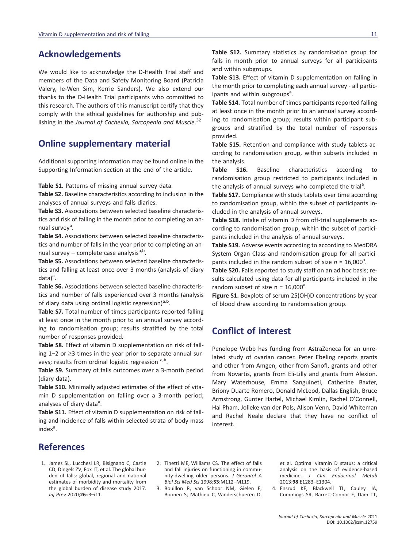## **Acknowledgements**

We would like to acknowledge the D-Health Trial staff and members of the Data and Safety Monitoring Board (Patricia Valery, Ie-Wen Sim, Kerrie Sanders). We also extend our thanks to the D-Health Trial participants who committed to this research. The authors of this manuscript certify that they comply with the ethical guidelines for authorship and publishing in the *Journal of Cachexia, Sarcopenia and Muscle*. 32

### **Online supplementary material**

Additional supporting information may be found online in the Supporting Information section at the end of the article.

**Table S1.** Patterns of missing annual survey data.

**Table S2.** Baseline characteristics according to inclusion in the analyses of annual surveys and falls diaries.

**Table S3.** Associations between selected baseline characteristics and risk of falling in the month prior to completing an annual survey<sup>a</sup>.

**Table S4.** Associations between selected baseline characteristics and number of falls in the year prior to completing an annual survey – complete case analysis<sup>a,b</sup>.

**Table S5.** Associations between selected baseline characteristics and falling at least once over 3 months (analysis of diary data)<sup>a</sup>.

**Table S6.** Associations between selected baseline characteristics and number of falls experienced over 3 months (analysis of diary data using ordinal logistic regression)<sup>a,b</sup>.

**Table S7.** Total number of times participants reported falling at least once in the month prior to an annual survey according to randomisation group; results stratified by the total number of responses provided.

**Table S8.** Effect of vitamin D supplementation on risk of falling 1–2 or  $\geq$ 3 times in the year prior to separate annual surveys; results from ordinal logistic regression  $a,b$ .

**Table S9.** Summary of falls outcomes over a 3-month period (diary data).

**Table S10.** Minimally adjusted estimates of the effect of vitamin D supplementation on falling over a 3-month period; analyses of diary data<sup>a</sup>.

**Table S11.** Effect of vitamin D supplementation on risk of falling and incidence of falls within selected strata of body mass index<sup>a</sup>.

**Table S12.** Summary statistics by randomisation group for falls in month prior to annual surveys for all participants and within subgroups.

**Table S13.** Effect of vitamin D supplementation on falling in the month prior to completing each annual survey - all participants and within subgroups<sup>a</sup>.

**Table S14.** Total number of times participants reported falling at least once in the month prior to an annual survey according to randomisation group; results within participant subgroups and stratified by the total number of responses provided.

**Table S15.** Retention and compliance with study tablets according to randomisation group, within subsets included in the analysis.

**Table S16.** Baseline characteristics according to randomisation group restricted to participants included in the analysis of annual surveys who completed the trial<sup>a</sup>.

**Table S17.** Compliance with study tablets over time according to randomisation group, within the subset of participants included in the analysis of annual surveys.

**Table S18.** Intake of vitamin D from off-trial supplements according to randomisation group, within the subset of participants included in the analysis of annual surveys.

**Table S19.** Adverse events according to according to MedDRA System Organ Class and randomisation group for all participants included in the random subset of size  $n = 16,000^a$ .

**Table S20.** Falls reported to study staff on an ad hoc basis; results calculated using data for all participants included in the random subset of size  $n = 16,000^a$ 

Figure S1. Boxplots of serum 25(OH)D concentrations by year of blood draw according to randomisation group.

# **Conflict of interest**

Penelope Webb has funding from AstraZeneca for an unrelated study of ovarian cancer. Peter Ebeling reports grants and other from Amgen, other from Sanofi, grants and other from Novartis, grants from Eli-Lilly and grants from Alexion. Mary Waterhouse, Emma Sanguineti, Catherine Baxter, Briony Duarte Romero, Donald McLeod, Dallas English, Bruce Armstrong, Gunter Hartel, Michael Kimlin, Rachel O'Connell, Hai Pham, Jolieke van der Pols, Alison Venn, David Whiteman and Rachel Neale declare that they have no conflict of interest.

### **References**

- 1. James SL, Lucchesi LR, Bisignano C, Castle CD, Dingels ZV, Fox JT, et al. The global burden of falls: global, regional and national estimates of morbidity and mortality from the global burden of disease study 2017. *Inj Prev* 2020;**26**:i3–i11.
- 2. Tinetti ME, Williams CS. The effect of falls and fall injuries on functioning in community-dwelling older persons. *J Gerontol A Biol Sci Med Sci* 1998;**53**:M112–M119.
- 3. Bouillon R, van Schoor NM, Gielen E, Boonen S, Mathieu C, Vanderschueren D,

et al. Optimal vitamin D status: a critical analysis on the basis of evidence-based medicine. *J Clin Endocrinol Metab* 2013;**98**:E1283–E1304.

4. Ensrud KE, Blackwell TL, Cauley JA, Cummings SR, Barrett-Connor E, Dam TT,